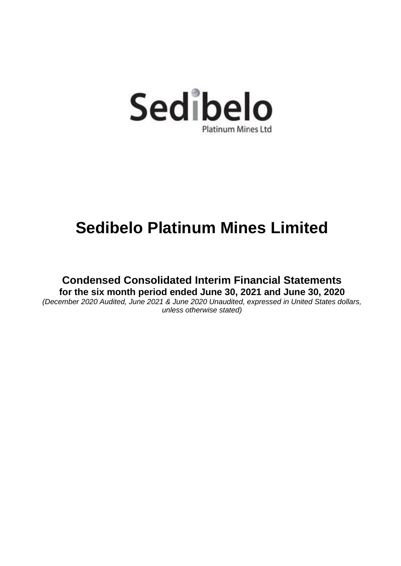

**Condensed Consolidated Interim Financial Statements for the six month period ended June 30, 2021 and June 30, 2020**

*(December 2020 Audited, June 2021 & June 2020 Unaudited, expressed in United States dollars, unless otherwise stated)*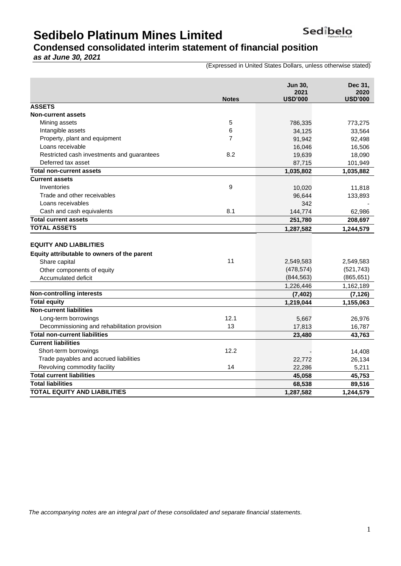### **Condensed consolidated interim statement of financial position**

*as at June 30, 2021*

(Expressed in United States Dollars, unless otherwise stated)

|                                              | <b>Notes</b>   | <b>Jun 30,</b><br>2021<br><b>USD'000</b> | Dec 31,<br>2020<br><b>USD'000</b> |
|----------------------------------------------|----------------|------------------------------------------|-----------------------------------|
| <b>ASSETS</b>                                |                |                                          |                                   |
| <b>Non-current assets</b>                    |                |                                          |                                   |
| Mining assets                                | 5              | 786,335                                  | 773,275                           |
| Intangible assets                            | 6              | 34,125                                   | 33,564                            |
| Property, plant and equipment                | $\overline{7}$ | 91,942                                   | 92,498                            |
| Loans receivable                             |                | 16,046                                   | 16,506                            |
| Restricted cash investments and guarantees   | 8.2            | 19,639                                   | 18,090                            |
| Deferred tax asset                           |                | 87,715                                   | 101,949                           |
| <b>Total non-current assets</b>              |                | 1,035,802                                | 1,035,882                         |
| <b>Current assets</b>                        |                |                                          |                                   |
| Inventories                                  | 9              | 10,020                                   | 11,818                            |
| Trade and other receivables                  |                | 96,644                                   | 133,893                           |
| Loans receivables                            |                | 342                                      |                                   |
| Cash and cash equivalents                    | 8.1            | 144,774                                  | 62,986                            |
| <b>Total current assets</b>                  |                | 251,780                                  | 208,697                           |
| <b>TOTAL ASSETS</b>                          |                | 1,287,582                                | 1,244,579                         |
| <b>EQUITY AND LIABILITIES</b>                |                |                                          |                                   |
| Equity attributable to owners of the parent  |                |                                          |                                   |
| Share capital                                | 11             | 2,549,583                                | 2,549,583                         |
| Other components of equity                   |                | (478, 574)                               | (521, 743)                        |
| Accumulated deficit                          |                | (844, 563)                               | (865, 651)                        |
| <b>Non-controlling interests</b>             |                | 1,226,446                                | 1,162,189                         |
| <b>Total equity</b>                          |                | (7, 402)                                 | (7, 126)                          |
| <b>Non-current liabilities</b>               |                | 1,219,044                                | 1,155,063                         |
| Long-term borrowings                         | 12.1           |                                          |                                   |
| Decommissioning and rehabilitation provision | 13             | 5,667<br>17,813                          | 26,976<br>16,787                  |
| <b>Total non-current liabilities</b>         |                | 23,480                                   | 43,763                            |
| <b>Current liabilities</b>                   |                |                                          |                                   |
| Short-term borrowings                        | 12.2           |                                          | 14,408                            |
| Trade payables and accrued liabilities       |                | 22,772                                   | 26,134                            |
| Revolving commodity facility                 | 14             | 22,286                                   | 5,211                             |
| <b>Total current liabilities</b>             |                | 45,058                                   | 45,753                            |
| <b>Total liabilities</b>                     |                | 68,538                                   | 89,516                            |
| <b>TOTAL EQUITY AND LIABILITIES</b>          |                | 1,287,582                                | 1,244,579                         |

*The accompanying notes are an integral part of these consolidated and separate financial statements.*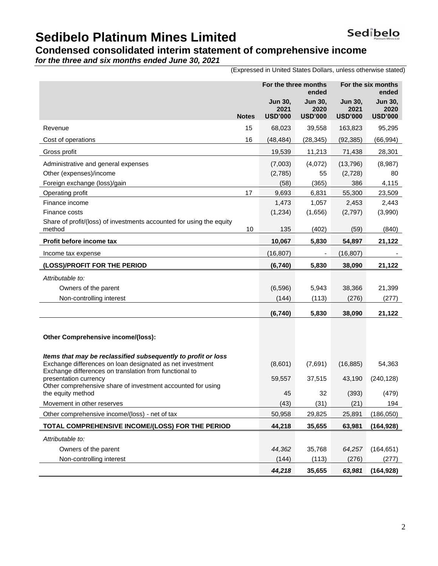## **Condensed consolidated interim statement of comprehensive income**

*for the three and six months ended June 30, 2021*

(Expressed in United States Dollars, unless otherwise stated)

|                                                                                                                                                                                      |              | For the three months                     | ended                                    |                                   | For the six months<br>ended              |
|--------------------------------------------------------------------------------------------------------------------------------------------------------------------------------------|--------------|------------------------------------------|------------------------------------------|-----------------------------------|------------------------------------------|
|                                                                                                                                                                                      | <b>Notes</b> | <b>Jun 30,</b><br>2021<br><b>USD'000</b> | <b>Jun 30.</b><br>2020<br><b>USD'000</b> | Jun 30,<br>2021<br><b>USD'000</b> | <b>Jun 30,</b><br>2020<br><b>USD'000</b> |
| Revenue                                                                                                                                                                              | 15           | 68,023                                   | 39,558                                   | 163,823                           | 95,295                                   |
| Cost of operations                                                                                                                                                                   | 16           | (48, 484)                                | (28, 345)                                | (92, 385)                         | (66, 994)                                |
| Gross profit                                                                                                                                                                         |              | 19,539                                   | 11,213                                   | 71,438                            | 28,301                                   |
| Administrative and general expenses                                                                                                                                                  |              | (7,003)                                  | (4,072)                                  | (13, 796)                         | (8,987)                                  |
| Other (expenses)/income                                                                                                                                                              |              | (2,785)                                  | 55                                       | (2,728)                           | 80                                       |
| Foreign exchange (loss)/gain                                                                                                                                                         |              | (58)                                     | (365)                                    | 386                               | 4,115                                    |
| Operating profit                                                                                                                                                                     | 17           | 9,693                                    | 6,831                                    | 55,300                            | 23,509                                   |
| Finance income                                                                                                                                                                       |              | 1,473                                    | 1,057                                    | 2,453                             | 2,443                                    |
| Finance costs                                                                                                                                                                        |              | (1, 234)                                 | (1,656)                                  | (2,797)                           | (3,990)                                  |
| Share of profit/(loss) of investments accounted for using the equity<br>method                                                                                                       | 10           | 135                                      | (402)                                    | (59)                              | (840)                                    |
| Profit before income tax                                                                                                                                                             |              | 10,067                                   | 5,830                                    | 54,897                            | 21,122                                   |
| Income tax expense                                                                                                                                                                   |              | (16, 807)                                | ٠                                        | (16, 807)                         |                                          |
| (LOSS)/PROFIT FOR THE PERIOD                                                                                                                                                         |              | (6, 740)                                 | 5,830                                    | 38,090                            | 21,122                                   |
| Attributable to:                                                                                                                                                                     |              |                                          |                                          |                                   |                                          |
| Owners of the parent                                                                                                                                                                 |              | (6, 596)                                 | 5,943                                    | 38,366                            | 21,399                                   |
| Non-controlling interest                                                                                                                                                             |              | (144)                                    | (113)                                    | (276)                             | (277)                                    |
|                                                                                                                                                                                      |              | (6,740)                                  | 5,830                                    | 38,090                            | 21,122                                   |
|                                                                                                                                                                                      |              |                                          |                                          |                                   |                                          |
| Other Comprehensive income/(loss):                                                                                                                                                   |              |                                          |                                          |                                   |                                          |
|                                                                                                                                                                                      |              |                                          |                                          |                                   |                                          |
| Items that may be reclassified subsequently to profit or loss<br>Exchange differences on loan designated as net investment<br>Exchange differences on translation from functional to |              | (8,601)                                  | (7,691)                                  | (16, 885)                         | 54,363                                   |
| presentation currency                                                                                                                                                                |              | 59,557                                   | 37,515                                   | 43,190                            | (240, 128)                               |
| Other comprehensive share of investment accounted for using<br>the equity method                                                                                                     |              | 45                                       | 32                                       | (393)                             | (479)                                    |
| Movement in other reserves                                                                                                                                                           |              | (43)                                     | (31)                                     | (21)                              | 194                                      |
| Other comprehensive income/(loss) - net of tax                                                                                                                                       |              | 50,958                                   | 29,825                                   | 25,891                            | (186, 050)                               |
| TOTAL COMPREHENSIVE INCOME/(LOSS) FOR THE PERIOD                                                                                                                                     |              | 44,218                                   | 35,655                                   | 63,981                            | (164,928)                                |
| Attributable to:                                                                                                                                                                     |              |                                          |                                          |                                   |                                          |
| Owners of the parent                                                                                                                                                                 |              | 44,362                                   | 35,768                                   | 64,257                            | (164, 651)                               |
| Non-controlling interest                                                                                                                                                             |              | (144)                                    | (113)                                    | (276)                             | (277)                                    |
|                                                                                                                                                                                      |              | 44,218                                   | 35,655                                   | 63,981                            | (164, 928)                               |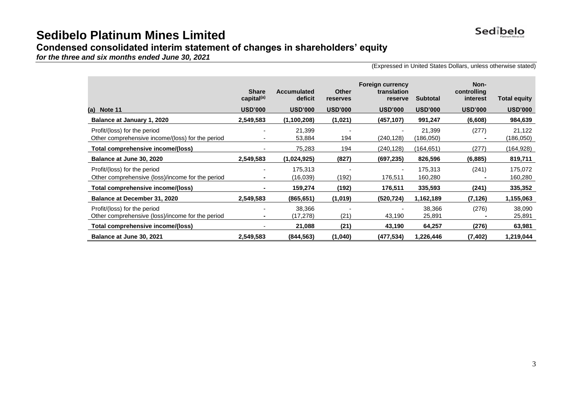

### **Condensed consolidated interim statement of changes in shareholders' equity**

*for the three and six months ended June 30, 2021*

(Expressed in United States Dollars, unless otherwise stated)

|                                                                                  | <b>Share</b><br>capital <sup>(a)</sup> | <b>Accumulated</b><br>deficit | <b>Other</b><br>reserves | <b>Foreign currency</b><br>translation<br>reserve | <b>Subtotal</b>     | Non-<br>controlling<br>interest | <b>Total equity</b> |
|----------------------------------------------------------------------------------|----------------------------------------|-------------------------------|--------------------------|---------------------------------------------------|---------------------|---------------------------------|---------------------|
| (a) Note $11$                                                                    | <b>USD'000</b>                         | <b>USD'000</b>                | <b>USD'000</b>           | <b>USD'000</b>                                    | <b>USD'000</b>      | <b>USD'000</b>                  | <b>USD'000</b>      |
| Balance at January 1, 2020                                                       | 2,549,583                              | (1,100,208)                   | (1,021)                  | (457,107)                                         | 991,247             | (6,608)                         | 984,639             |
| Profit/(loss) for the period<br>Other comprehensive income/(loss) for the period |                                        | 21,399<br>53,884              | 194                      | (240,128)                                         | 21,399<br>(186,050) | (277)                           | 21,122<br>(186,050) |
| Total comprehensive income/(loss)                                                |                                        | 75,283                        | 194                      | (240, 128)                                        | (164, 651)          | (277)                           | (164,928)           |
| Balance at June 30, 2020                                                         | 2,549,583                              | (1,024,925)                   | (827)                    | (697,235)                                         | 826,596             | (6, 885)                        | 819,711             |
| Profit/(loss) for the period                                                     |                                        | 175,313                       |                          |                                                   | 175,313             | (241)                           | 175,072             |
| Other comprehensive (loss)/income for the period                                 |                                        | (16,039)                      | (192)                    | 176,511                                           | 160,280             |                                 | 160,280             |
| Total comprehensive income/(loss)                                                |                                        | 159,274                       | (192)                    | 176,511                                           | 335,593             | (241)                           | 335,352             |
| Balance at December 31, 2020                                                     | 2,549,583                              | (865,651)                     | (1,019)                  | (520,724)                                         | 1,162,189           | (7,126)                         | 1,155,063           |
| Profit/(loss) for the period<br>Other comprehensive (loss)/income for the period |                                        | 38,366<br>(17,278)            | (21)                     | 43,190                                            | 38,366<br>25,891    | (276)                           | 38,090<br>25,891    |
| Total comprehensive income/(loss)                                                |                                        | 21,088                        | (21)                     | 43,190                                            | 64,257              | (276)                           | 63,981              |
| Balance at June 30, 2021                                                         | 2,549,583                              | (844, 563)                    | (1,040)                  | (477,534)                                         | 1,226,446           | (7, 402)                        | 1,219,044           |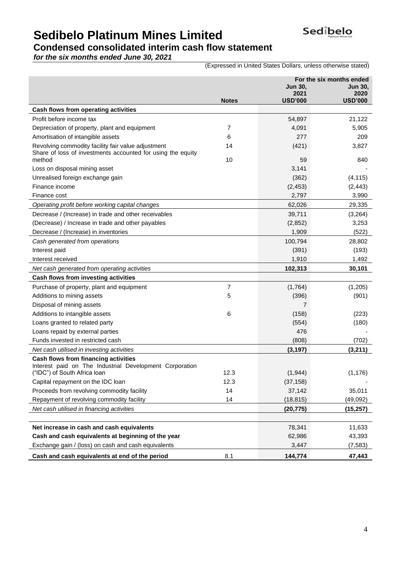

### **Condensed consolidated interim cash flow statement**

*for the six months ended June 30, 2021*

(Expressed in United States Dollars, unless otherwise stated)

|                                                                                                                                 | For the six months ended |                   |                   |  |
|---------------------------------------------------------------------------------------------------------------------------------|--------------------------|-------------------|-------------------|--|
|                                                                                                                                 |                          | Jun 30.<br>2021   | Jun 30.<br>2020   |  |
|                                                                                                                                 | <b>Notes</b>             | <b>USD'000</b>    | <b>USD'000</b>    |  |
| Cash flows from operating activities                                                                                            |                          |                   |                   |  |
| Profit before income tax                                                                                                        |                          | 54,897            | 21,122            |  |
| Depreciation of property, plant and equipment                                                                                   | 7                        | 4,091             | 5,905             |  |
| Amortisation of intangible assets                                                                                               | 6                        | 277               | 209               |  |
| Revolving commodity facility fair value adjustment<br>Share of loss of investments accounted for using the equity               | 14                       | (421)             | 3,827             |  |
| method                                                                                                                          | 10                       | 59                | 840               |  |
| Loss on disposal mining asset                                                                                                   |                          | 3,141             |                   |  |
| Unrealised foreign exchange gain<br>Finance income                                                                              |                          | (362)             | (4, 115)          |  |
| Finance cost                                                                                                                    |                          | (2, 453)<br>2,797 | (2, 443)<br>3,990 |  |
|                                                                                                                                 |                          |                   |                   |  |
| Operating profit before working capital changes                                                                                 |                          | 62,026            | 29,335            |  |
| Decrease / (Increase) in trade and other receivables                                                                            |                          | 39,711            | (3,264)           |  |
| (Decrease) / Increase in trade and other payables                                                                               |                          | (2,852)           | 3,253             |  |
| Decrease / (Increase) in inventories                                                                                            |                          | 1,909             | (522)             |  |
| Cash generated from operations                                                                                                  |                          | 100,794           | 28,802            |  |
| Interest paid                                                                                                                   |                          | (391)             | (193)             |  |
| Interest received                                                                                                               |                          | 1,910             | 1,492             |  |
| Net cash generated from operating activities                                                                                    |                          | 102,313           | 30,101            |  |
| Cash flows from investing activities                                                                                            |                          |                   |                   |  |
| Purchase of property, plant and equipment                                                                                       | $\overline{7}$           | (1,764)           | (1,205)           |  |
| Additions to mining assets                                                                                                      | 5                        | (396)             | (901)             |  |
| Disposal of mining assets                                                                                                       |                          | 7                 |                   |  |
| Additions to intangible assets                                                                                                  | 6                        | (158)             | (223)             |  |
| Loans granted to related party                                                                                                  |                          | (554)             | (180)             |  |
| Loans repaid by external parties<br>Funds invested in restricted cash                                                           |                          | 476               |                   |  |
|                                                                                                                                 |                          | (808)             | (702)             |  |
| Net cash utilised in investing activities                                                                                       |                          | (3, 197)          | (3,211)           |  |
| Cash flows from financing activities<br>Interest paid on The Industrial Development Corporation<br>("IDC") of South Africa loan | 12.3                     | (1, 944)          | (1, 176)          |  |
| Capital repayment on the IDC loan                                                                                               | 12.3                     | (37, 158)         |                   |  |
| Proceeds from revolving commodity facility                                                                                      | 14                       | 37,142            | 35,011            |  |
| Repayment of revolving commodity facility                                                                                       | 14                       | (18, 815)         | (49,092)          |  |
| Net cash utilised in financing activities                                                                                       |                          | (20, 775)         | (15, 257)         |  |
|                                                                                                                                 |                          |                   |                   |  |
| Net increase in cash and cash equivalents                                                                                       |                          | 78,341            | 11,633            |  |
| Cash and cash equivalents at beginning of the year                                                                              |                          | 62,986            | 43,393            |  |
| Exchange gain / (loss) on cash and cash equivalents                                                                             |                          | 3,447             | (7, 583)          |  |
| Cash and cash equivalents at end of the period                                                                                  | 8.1                      | 144,774           | 47,443            |  |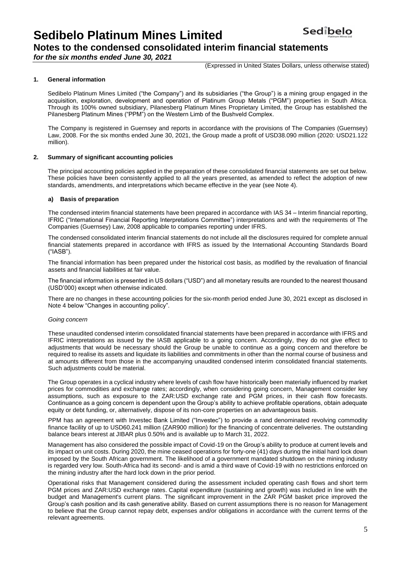### **Notes to the condensed consolidated interim financial statements**

*for the six months ended June 30, 2021*

(Expressed in United States Dollars, unless otherwise stated)

### **1. General information**

Sedibelo Platinum Mines Limited ("the Company") and its subsidiaries ("the Group") is a mining group engaged in the acquisition, exploration, development and operation of Platinum Group Metals ("PGM") properties in South Africa. Through its 100% owned subsidiary, Pilanesberg Platinum Mines Proprietary Limited, the Group has established the Pilanesberg Platinum Mines ("PPM") on the Western Limb of the Bushveld Complex.

The Company is registered in Guernsey and reports in accordance with the provisions of The Companies (Guernsey) Law, 2008. For the six months ended June 30, 2021, the Group made a profit of USD38.090 million (2020: USD21.122 million).

### **2. Summary of significant accounting policies**

The principal accounting policies applied in the preparation of these consolidated financial statements are set out below. These policies have been consistently applied to all the years presented, as amended to reflect the adoption of new standards, amendments, and interpretations which became effective in the year (see Note 4).

### **a) Basis of preparation**

The condensed interim financial statements have been prepared in accordance with IAS 34 – Interim financial reporting, IFRIC ("International Financial Reporting Interpretations Committee") interpretations and with the requirements of The Companies (Guernsey) Law, 2008 applicable to companies reporting under IFRS.

The condensed consolidated interim financial statements do not include all the disclosures required for complete annual financial statements prepared in accordance with IFRS as issued by the International Accounting Standards Board ("IASB").

The financial information has been prepared under the historical cost basis, as modified by the revaluation of financial assets and financial liabilities at fair value.

The financial information is presented in US dollars ("USD") and all monetary results are rounded to the nearest thousand (USD'000) except when otherwise indicated.

There are no changes in these accounting policies for the six-month period ended June 30, 2021 except as disclosed in Note 4 below "Changes in accounting policy".

#### *Going concern*

These unaudited condensed interim consolidated financial statements have been prepared in accordance with IFRS and IFRIC interpretations as issued by the IASB applicable to a going concern. Accordingly, they do not give effect to adjustments that would be necessary should the Group be unable to continue as a going concern and therefore be required to realise its assets and liquidate its liabilities and commitments in other than the normal course of business and at amounts different from those in the accompanying unaudited condensed interim consolidated financial statements. Such adjustments could be material.

The Group operates in a cyclical industry where levels of cash flow have historically been materially influenced by market prices for commodities and exchange rates; accordingly, when considering going concern, Management consider key assumptions, such as exposure to the ZAR:USD exchange rate and PGM prices, in their cash flow forecasts. Continuance as a going concern is dependent upon the Group's ability to achieve profitable operations, obtain adequate equity or debt funding, or, alternatively, dispose of its non-core properties on an advantageous basis.

PPM has an agreement with Investec Bank Limited ("Investec") to provide a rand denominated revolving commodity finance facility of up to USD60.241 million (ZAR900 million) for the financing of concentrate deliveries. The outstanding balance bears interest at JIBAR plus 0.50% and is available up to March 31, 2022.

Management has also considered the possible impact of Covid-19 on the Group's ability to produce at current levels and its impact on unit costs. During 2020, the mine ceased operations for forty-one (41) days during the initial hard lock down imposed by the South African government. The likelihood of a government mandated shutdown on the mining industry is regarded very low. South-Africa had its second- and is amid a third wave of Covid-19 with no restrictions enforced on the mining industry after the hard lock down in the prior period.

Operational risks that Management considered during the assessment included operating cash flows and short term PGM prices and ZAR:USD exchange rates. Capital expenditure (sustaining and growth) was included in line with the budget and Management's current plans. The significant improvement in the ZAR PGM basket price improved the Group's cash position and its cash generative ability. Based on current assumptions there is no reason for Management to believe that the Group cannot repay debt, expenses and/or obligations in accordance with the current terms of the relevant agreements.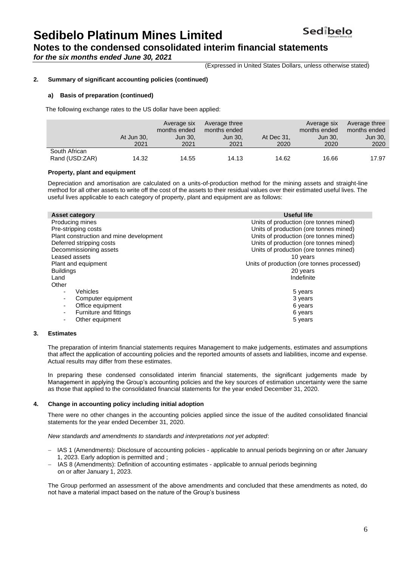**Notes to the condensed consolidated interim financial statements** 

*for the six months ended June 30, 2021*

(Expressed in United States Dollars, unless otherwise stated)

### **2. Summary of significant accounting policies (continued)**

#### **a) Basis of preparation (continued)**

The following exchange rates to the US dollar have been applied:

|                                 | At Jun 30,<br>2021 | Average six<br>months ended<br>Jun 30.<br>2021 | Average three<br>months ended<br>Jun 30.<br>2021 | At Dec 31,<br>2020 | Average six<br>months ended<br>Jun 30.<br>2020 | Average three<br>months ended<br>Jun 30,<br>2020 |
|---------------------------------|--------------------|------------------------------------------------|--------------------------------------------------|--------------------|------------------------------------------------|--------------------------------------------------|
| South African<br>Rand (USD:ZAR) | 14.32              | 14.55                                          | 14.13                                            | 14.62              | 16.66                                          | 17.97                                            |

### **Property, plant and equipment**

Depreciation and amortisation are calculated on a units-of-production method for the mining assets and straight-line method for all other assets to write off the cost of the assets to their residual values over their estimated useful lives. The useful lives applicable to each category of property, plant and equipment are as follows:

| <b>Asset category</b>                        | <b>Useful life</b>                         |
|----------------------------------------------|--------------------------------------------|
| Producing mines                              | Units of production (ore tonnes mined)     |
| Pre-stripping costs                          | Units of production (ore tonnes mined)     |
| Plant construction and mine development      | Units of production (ore tonnes mined)     |
| Deferred stripping costs                     | Units of production (ore tonnes mined)     |
| Decommissioning assets                       | Units of production (ore tonnes mined)     |
| Leased assets                                | 10 years                                   |
| Plant and equipment                          | Units of production (ore tonnes processed) |
| <b>Buildings</b>                             | 20 years                                   |
| Land                                         | Indefinite                                 |
| Other                                        |                                            |
| Vehicles<br>$\overline{\phantom{a}}$         | 5 years                                    |
| Computer equipment<br>٠                      | 3 years                                    |
| Office equipment<br>$\overline{\phantom{a}}$ | 6 years                                    |
| Furniture and fittings                       | 6 years                                    |
| Other equipment<br>٠                         | 5 years                                    |
|                                              |                                            |

#### **3. Estimates**

The preparation of interim financial statements requires Management to make judgements, estimates and assumptions that affect the application of accounting policies and the reported amounts of assets and liabilities, income and expense. Actual results may differ from these estimates.

In preparing these condensed consolidated interim financial statements, the significant judgements made by Management in applying the Group's accounting policies and the key sources of estimation uncertainty were the same as those that applied to the consolidated financial statements for the year ended December 31, 2020.

#### **4. Change in accounting policy including initial adoption**

There were no other changes in the accounting policies applied since the issue of the audited consolidated financial statements for the year ended December 31, 2020.

*New standards and amendments to standards and interpretations not yet adopted*:

- − IAS 1 (Amendments): Disclosure of accounting policies applicable to annual periods beginning on or after January 1, 2023. Early adoption is permitted and ;
- − IAS 8 (Amendments): Definition of accounting estimates applicable to annual periods beginning on or after January 1, 2023.

The Group performed an assessment of the above amendments and concluded that these amendments as noted, do not have a material impact based on the nature of the Group's business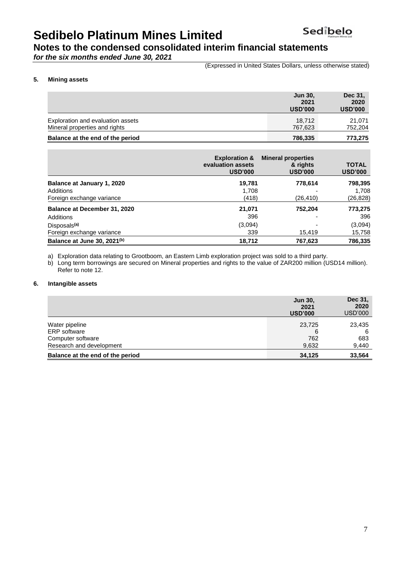### **Notes to the condensed consolidated interim financial statements**

*for the six months ended June 30, 2021*

(Expressed in United States Dollars, unless otherwise stated)

### **5. Mining assets**

|                                                                   | Jun 30,<br>2021<br><b>USD'000</b> | Dec 31,<br>2020<br><b>USD'000</b> |
|-------------------------------------------------------------------|-----------------------------------|-----------------------------------|
| Exploration and evaluation assets                                 | 18.712                            | 21.071                            |
| Mineral properties and rights<br>Balance at the end of the period | 767,623<br>786,335                | 752,204<br>773,275                |

|                                         | <b>Exploration &amp;</b><br>evaluation assets<br><b>USD'000</b> | <b>Mineral properties</b><br>& rights<br><b>USD'000</b> | <b>TOTAL</b><br><b>USD'000</b> |
|-----------------------------------------|-----------------------------------------------------------------|---------------------------------------------------------|--------------------------------|
| Balance at January 1, 2020              | 19,781                                                          | 778,614                                                 | 798,395                        |
| Additions                               | 1,708                                                           |                                                         | 1,708                          |
| Foreign exchange variance               | (418)                                                           | (26,410)                                                | (26,828)                       |
| Balance at December 31, 2020            | 21,071                                                          | 752,204                                                 | 773,275                        |
| Additions                               | 396                                                             |                                                         | 396                            |
| Disposals <sup>(a)</sup>                | (3,094)                                                         |                                                         | (3,094)                        |
| Foreign exchange variance               | 339                                                             | 15,419                                                  | 15,758                         |
| Balance at June 30, 2021 <sup>(b)</sup> | 18,712                                                          | 767,623                                                 | 786,335                        |

a) Exploration data relating to Grootboom, an Eastern Limb exploration project was sold to a third party.

b) Long term borrowings are secured on Mineral properties and rights to the value of ZAR200 million (USD14 million). Refer to note 12.

### **6. Intangible assets**

|                                  | <b>Jun 30.</b><br>2021<br><b>USD'000</b> | Dec 31,<br>2020<br><b>USD'000</b> |
|----------------------------------|------------------------------------------|-----------------------------------|
| Water pipeline                   | 23,725                                   | 23,435                            |
| <b>ERP</b> software              |                                          | 6                                 |
| Computer software                | 762                                      | 683                               |
| Research and development         | 9,632                                    | 9,440                             |
| Balance at the end of the period | 34,125                                   | 33,564                            |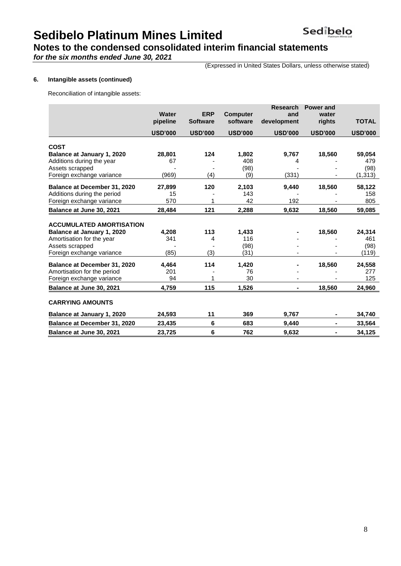### **Notes to the condensed consolidated interim financial statements**

*for the six months ended June 30, 2021*

(Expressed in United States Dollars, unless otherwise stated)

### **6. Intangible assets (continued)**

Reconciliation of intangible assets:

|                                     |                |                 |                 | <b>Research</b> | <b>Power and</b> |                |
|-------------------------------------|----------------|-----------------|-----------------|-----------------|------------------|----------------|
|                                     | Water          | <b>ERP</b>      | <b>Computer</b> | and             | water            |                |
|                                     | pipeline       | <b>Software</b> | software        | development     | rights           | <b>TOTAL</b>   |
|                                     | <b>USD'000</b> | <b>USD'000</b>  | <b>USD'000</b>  | <b>USD'000</b>  | <b>USD'000</b>   | <b>USD'000</b> |
| <b>COST</b>                         |                |                 |                 |                 |                  |                |
| Balance at January 1, 2020          | 28,801         | 124             | 1,802           | 9,767           | 18,560           | 59,054         |
| Additions during the year           | 67             |                 | 408             | 4               |                  | 479            |
| Assets scrapped                     |                |                 | (98)            |                 |                  | (98)           |
| Foreign exchange variance           | (969)          | (4)             | (9)             | (331)           |                  | (1, 313)       |
| Balance at December 31, 2020        | 27,899         | 120             | 2,103           | 9,440           | 18,560           | 58,122         |
| Additions during the period         | 15             |                 | 143             |                 |                  | 158            |
| Foreign exchange variance           | 570            | 1               | 42              | 192             |                  | 805            |
| Balance at June 30, 2021            | 28,484         | 121             | 2,288           | 9,632           | 18,560           | 59,085         |
|                                     |                |                 |                 |                 |                  |                |
| <b>ACCUMULATED AMORTISATION</b>     |                |                 |                 |                 |                  |                |
| Balance at January 1, 2020          | 4,208          | 113             | 1,433           |                 | 18,560           | 24,314         |
| Amortisation for the year           | 341            | 4               | 116             |                 |                  | 461            |
| Assets scrapped                     |                |                 | (98)            |                 |                  | (98)           |
| Foreign exchange variance           | (85)           | (3)             | (31)            |                 |                  | (119)          |
| <b>Balance at December 31, 2020</b> | 4,464          | 114             | 1,420           |                 | 18.560           | 24,558         |
| Amortisation for the period         | 201            |                 | 76              |                 |                  | 277            |
| Foreign exchange variance           | 94             | 1               | 30              |                 |                  | 125            |
| Balance at June 30, 2021            | 4,759          | 115             | 1.526           | $\blacksquare$  | 18.560           | 24,960         |
| <b>CARRYING AMOUNTS</b>             |                |                 |                 |                 |                  |                |
| Balance at January 1, 2020          | 24,593         | 11              | 369             | 9,767           |                  | 34,740         |
| Balance at December 31, 2020        | 23,435         | 6               | 683             | 9,440           |                  | 33,564         |
| Balance at June 30, 2021            | 23,725         | 6               | 762             | 9,632           |                  | 34,125         |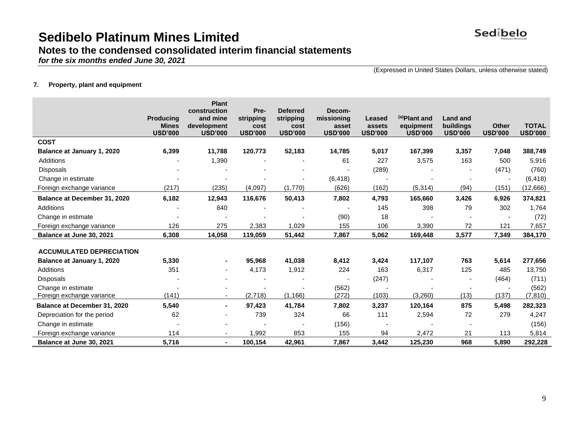

### **Notes to the condensed consolidated interim financial statements**

*for the six months ended June 30, 2021*

(Expressed in United States Dollars, unless otherwise stated)

### **7. Property, plant and equipment**

|                                     | <b>Producina</b><br><b>Mines</b> | <b>Plant</b><br>construction<br>and mine<br>development | Pre-<br>stripping<br>cost | <b>Deferred</b><br>stripping<br>cost | Decom-<br>missioning<br>asset | Leased<br>assets | (a)Plant and<br>equipment | <b>Land and</b><br>buildings | <b>Other</b>   | <b>TOTAL</b>   |
|-------------------------------------|----------------------------------|---------------------------------------------------------|---------------------------|--------------------------------------|-------------------------------|------------------|---------------------------|------------------------------|----------------|----------------|
|                                     | <b>USD'000</b>                   | <b>USD'000</b>                                          | <b>USD'000</b>            | <b>USD'000</b>                       | <b>USD'000</b>                | <b>USD'000</b>   | <b>USD'000</b>            | <b>USD'000</b>               | <b>USD'000</b> | <b>USD'000</b> |
| <b>COST</b>                         |                                  |                                                         |                           |                                      |                               |                  |                           |                              |                |                |
| Balance at January 1, 2020          | 6,399                            | 11,788                                                  | 120,773                   | 52,183                               | 14,785                        | 5,017            | 167,399                   | 3,357                        | 7,048          | 388,749        |
| <b>Additions</b>                    |                                  | 1,390                                                   |                           |                                      | 61                            | 227              | 3,575                     | 163                          | 500            | 5,916          |
| Disposals                           |                                  |                                                         |                           |                                      |                               | (289)            |                           |                              | (471)          | (760)          |
| Change in estimate                  |                                  |                                                         |                           |                                      | (6, 418)                      |                  |                           |                              |                | (6, 418)       |
| Foreign exchange variance           | (217)                            | (235)                                                   | (4,097)                   | (1,770)                              | (626)                         | (162)            | (5, 314)                  | (94)                         | (151)          | (12, 666)      |
| Balance at December 31, 2020        | 6,182                            | 12,943                                                  | 116,676                   | 50,413                               | 7,802                         | 4,793            | 165,660                   | 3,426                        | 6,926          | 374,821        |
| Additions                           |                                  | 840                                                     |                           |                                      |                               | 145              | 398                       | 79                           | 302            | 1,764          |
| Change in estimate                  |                                  |                                                         |                           |                                      | (90)                          | 18               |                           |                              |                | (72)           |
| Foreign exchange variance           | 126                              | 275                                                     | 2,383                     | 1,029                                | 155                           | 106              | 3,390                     | 72                           | 121            | 7,657          |
| Balance at June 30, 2021            | 6,308                            | 14,058                                                  | 119,059                   | 51,442                               | 7,867                         | 5,062            | 169,448                   | 3,577                        | 7,349          | 384,170        |
|                                     |                                  |                                                         |                           |                                      |                               |                  |                           |                              |                |                |
| <b>ACCUMULATED DEPRECIATION</b>     |                                  |                                                         |                           |                                      |                               |                  |                           |                              |                |                |
| <b>Balance at January 1, 2020</b>   | 5,330                            |                                                         | 95,968                    | 41,038                               | 8,412                         | 3,424            | 117,107                   | 763                          | 5,614          | 277,656        |
| Additions                           | 351                              |                                                         | 4,173                     | 1,912                                | 224                           | 163              | 6,317                     | 125                          | 485            | 13,750         |
| <b>Disposals</b>                    |                                  |                                                         |                           |                                      |                               | (247)            |                           | $\blacksquare$               | (464)          | (711)          |
| Change in estimate                  |                                  |                                                         |                           |                                      | (562)                         |                  |                           |                              |                | (562)          |
| Foreign exchange variance           | (141)                            |                                                         | (2,718)                   | (1, 166)                             | (272)                         | (103)            | (3,260)                   | (13)                         | (137)          | (7, 810)       |
| <b>Balance at December 31, 2020</b> | 5,540                            | $\blacksquare$                                          | 97,423                    | 41,784                               | 7,802                         | 3,237            | 120,164                   | 875                          | 5,498          | 282,323        |
| Depreciation for the period         | 62                               |                                                         | 739                       | 324                                  | 66                            | 111              | 2,594                     | 72                           | 279            | 4,247          |
| Change in estimate                  |                                  |                                                         |                           |                                      | (156)                         |                  |                           |                              |                | (156)          |
| Foreign exchange variance           | 114                              | ٠                                                       | 1,992                     | 853                                  | 155                           | 94               | 2,472                     | 21                           | 113            | 5,814          |
| Balance at June 30, 2021            | 5,716                            | $\blacksquare$                                          | 100,154                   | 42,961                               | 7,867                         | 3,442            | 125,230                   | 968                          | 5,890          | 292,228        |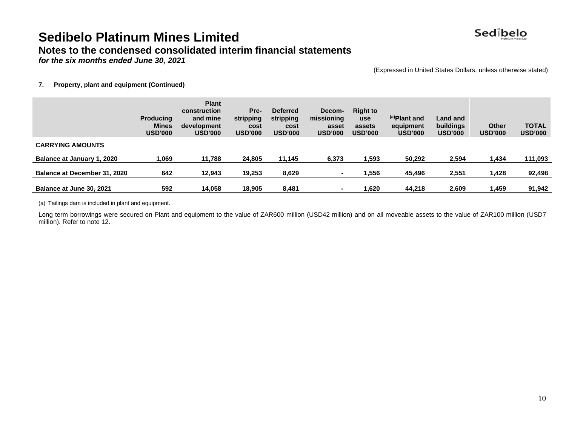

### **Notes to the condensed consolidated interim financial statements**

*for the six months ended June 30, 2021*

(Expressed in United States Dollars, unless otherwise stated)

### **7. Property, plant and equipment (Continued)**

|                              | <b>Producing</b><br><b>Mines</b><br><b>USD'000</b> | <b>Plant</b><br>construction<br>and mine<br>development<br><b>USD'000</b> | Pre-<br>stripping<br>cost<br><b>USD'000</b> | <b>Deferred</b><br>stripping<br>cost<br><b>USD'000</b> | Decom-<br>missioning<br>asset<br><b>USD'000</b> | <b>Right to</b><br><b>use</b><br>assets<br><b>USD'000</b> | (a) Plant and<br>equipment<br><b>USD'000</b> | Land and<br>buildings<br><b>USD'000</b> | Other<br><b>USD'000</b> | <b>TOTAL</b><br><b>USD'000</b> |
|------------------------------|----------------------------------------------------|---------------------------------------------------------------------------|---------------------------------------------|--------------------------------------------------------|-------------------------------------------------|-----------------------------------------------------------|----------------------------------------------|-----------------------------------------|-------------------------|--------------------------------|
| <b>CARRYING AMOUNTS</b>      |                                                    |                                                                           |                                             |                                                        |                                                 |                                                           |                                              |                                         |                         |                                |
| Balance at January 1, 2020   | 1,069                                              | 11,788                                                                    | 24.805                                      | 11,145                                                 | 6,373                                           | 1,593                                                     | 50,292                                       | 2,594                                   | 1,434                   | 111,093                        |
| Balance at December 31, 2020 | 642                                                | 12.943                                                                    | 19,253                                      | 8,629                                                  |                                                 | 1,556                                                     | 45,496                                       | 2,551                                   | 1,428                   | 92,498                         |
| Balance at June 30, 2021     | 592                                                | 14.058                                                                    | 18.905                                      | 8.481                                                  |                                                 | 1.620                                                     | 44.218                                       | 2,609                                   | 1,459                   | 91,942                         |

(a) Tailings dam is included in plant and equipment.

Long term borrowings were secured on Plant and equipment to the value of ZAR600 million (USD42 million) and on all moveable assets to the value of ZAR100 million (USD7 million). Refer to note 12.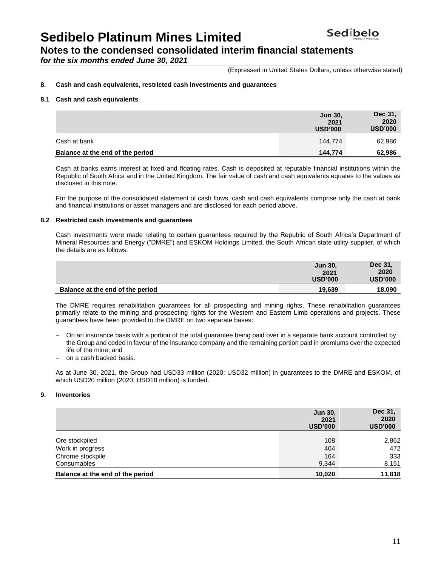**Notes to the condensed consolidated interim financial statements** 

*for the six months ended June 30, 2021*

(Expressed in United States Dollars, unless otherwise stated)

### **8. Cash and cash equivalents, restricted cash investments and guarantees**

#### **8.1 Cash and cash equivalents**

|                                  | <b>Jun 30,</b><br>2021<br><b>USD'000</b> | Dec 31,<br>2020<br><b>USD'000</b> |
|----------------------------------|------------------------------------------|-----------------------------------|
| Cash at bank                     | 144.774                                  | 62,986                            |
| Balance at the end of the period | 144.774                                  | 62,986                            |

Cash at banks earns interest at fixed and floating rates. Cash is deposited at reputable financial institutions within the Republic of South Africa and in the United Kingdom. The fair value of cash and cash equivalents equates to the values as disclosed in this note.

For the purpose of the consolidated statement of cash flows, cash and cash equivalents comprise only the cash at bank and financial institutions or asset managers and are disclosed for each period above.

#### **8.2 Restricted cash investments and guarantees**

Cash investments were made relating to certain guarantees required by the Republic of South Africa's Department of Mineral Resources and Energy ("DMRE") and ESKOM Holdings Limited, the South African state utility supplier, of which the details are as follows:

|                                  | <b>Jun 30,</b><br>2021<br><b>USD'000</b> | Dec 31,<br>2020<br><b>USD'000</b> |
|----------------------------------|------------------------------------------|-----------------------------------|
| Balance at the end of the period | 19,639                                   | 18,090                            |

The DMRE requires rehabilitation guarantees for all prospecting and mining rights. These rehabilitation guarantees primarily relate to the mining and prospecting rights for the Western and Eastern Limb operations and projects. These guarantees have been provided to the DMRE on two separate bases:

- − On an insurance basis with a portion of the total guarantee being paid over in a separate bank account controlled by the Group and ceded in favour of the insurance company and the remaining portion paid in premiums over the expected life of the mine; and
- − on a cash backed basis.

As at June 30, 2021, the Group had USD33 million (2020: USD32 million) in guarantees to the DMRE and ESKOM, of which USD20 million (2020: USD18 million) is funded.

### **9. Inventories**

|                                  | <b>Jun 30,</b><br>2021<br><b>USD'000</b> | Dec 31,<br>2020<br><b>USD'000</b> |
|----------------------------------|------------------------------------------|-----------------------------------|
|                                  |                                          |                                   |
| Ore stockpiled                   | 108                                      | 2,862                             |
| Work in progress                 | 404                                      | 472                               |
| Chrome stockpile                 | 164                                      | 333                               |
| Consumables                      | 9,344                                    | 8,151                             |
| Balance at the end of the period | 10.020                                   | 11,818                            |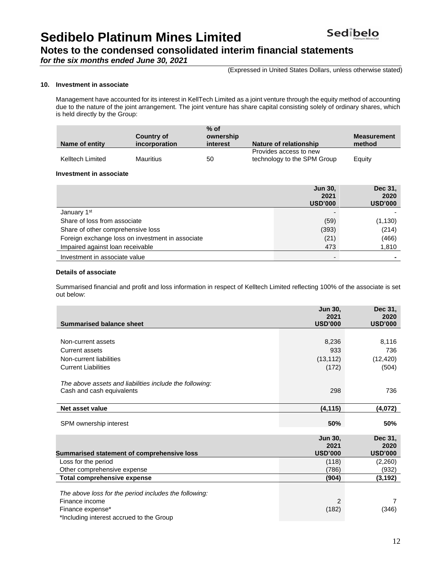Sedibelo **Sedibelo Platinum Mines Limited**

**Notes to the condensed consolidated interim financial statements** 

*for the six months ended June 30, 2021*

(Expressed in United States Dollars, unless otherwise stated)

### **10. Investment in associate**

Management have accounted for its interest in KellTech Limited as a joint venture through the equity method of accounting due to the nature of the joint arrangement. The joint venture has share capital consisting solely of ordinary shares, which is held directly by the Group:

| Name of entity   | <b>Country of</b><br>incorporation | $%$ of<br>ownership<br>interest | Nature of relationship                                | <b>Measurement</b><br>method |
|------------------|------------------------------------|---------------------------------|-------------------------------------------------------|------------------------------|
| Kelltech Limited | <b>Mauritius</b>                   | 50                              | Provides access to new<br>technology to the SPM Group | Equity                       |

#### **Investment in associate**

|                                                  | <b>Jun 30.</b><br>2021<br><b>USD'000</b> | Dec 31,<br>2020<br><b>USD'000</b> |
|--------------------------------------------------|------------------------------------------|-----------------------------------|
| January 1 <sup>st</sup>                          |                                          |                                   |
| Share of loss from associate                     | (59)                                     | (1, 130)                          |
| Share of other comprehensive loss                | (393)                                    | (214)                             |
| Foreign exchange loss on investment in associate | (21)                                     | (466)                             |
| Impaired against loan receivable                 | 473                                      | 1,810                             |
| Investment in associate value                    | $\overline{\phantom{0}}$                 |                                   |

### **Details of associate**

Summarised financial and profit and loss information in respect of Kelltech Limited reflecting 100% of the associate is set out below:

| <b>Summarised balance sheet</b>                         | Jun 30,<br>2021<br><b>USD'000</b> | Dec 31,<br>2020<br><b>USD'000</b> |
|---------------------------------------------------------|-----------------------------------|-----------------------------------|
|                                                         |                                   |                                   |
| Non-current assets                                      | 8,236                             | 8,116                             |
| <b>Current assets</b>                                   | 933                               | 736                               |
| Non-current liabilities                                 | (13, 112)                         | (12, 420)                         |
| <b>Current Liabilities</b>                              | (172)                             | (504)                             |
|                                                         |                                   |                                   |
| The above assets and liabilities include the following: |                                   |                                   |
| Cash and cash equivalents                               | 298                               | 736                               |
|                                                         |                                   |                                   |
| Net asset value                                         | (4, 115)                          | (4,072)                           |
|                                                         |                                   |                                   |
| SPM ownership interest                                  | 50%                               | 50%                               |
|                                                         | Jun 30,                           | Dec 31,                           |
|                                                         | 2021                              | 2020                              |
| Summarised statement of comprehensive loss              | <b>USD'000</b>                    | <b>USD'000</b>                    |
| Loss for the period                                     | (118)                             | (2,260)                           |
| Other comprehensive expense                             | (786)                             | (932)                             |
| <b>Total comprehensive expense</b>                      | (904)                             | (3,192)                           |
|                                                         |                                   |                                   |
| The above loss for the period includes the following:   |                                   |                                   |
| Finance income                                          | 2                                 | 7                                 |
| Finance expense*                                        | (182)                             | (346)                             |
| *Including interest accrued to the Group                |                                   |                                   |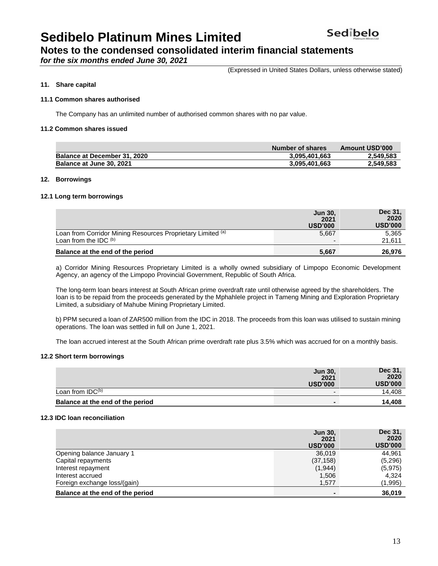### **Notes to the condensed consolidated interim financial statements**

*for the six months ended June 30, 2021*

(Expressed in United States Dollars, unless otherwise stated)

### **11. Share capital**

### **11.1 Common shares authorised**

The Company has an unlimited number of authorised common shares with no par value.

### **11.2 Common shares issued**

|                                     | Number of shares | Amount USD'000 |
|-------------------------------------|------------------|----------------|
| <b>Balance at December 31, 2020</b> | 3,095,401,663    | 2,549,583      |
| Balance at June 30, 2021            | 3,095,401,663    | 2,549,583      |

### **12. Borrowings**

### **12.1 Long term borrowings**

|                                                             | <b>Jun 30,</b><br>2021<br><b>USD'000</b> | Dec 31,<br>2020<br><b>USD'000</b> |
|-------------------------------------------------------------|------------------------------------------|-----------------------------------|
| Loan from Corridor Mining Resources Proprietary Limited (a) | 5,667                                    | 5,365                             |
| Loan from the IDC (b)                                       |                                          | 21,611                            |
| Balance at the end of the period                            | 5.667                                    | 26,976                            |

a) Corridor Mining Resources Proprietary Limited is a wholly owned subsidiary of Limpopo Economic Development Agency, an agency of the Limpopo Provincial Government, Republic of South Africa.

The long-term loan bears interest at South African prime overdraft rate until otherwise agreed by the shareholders. The loan is to be repaid from the proceeds generated by the Mphahlele project in Tameng Mining and Exploration Proprietary Limited, a subsidiary of Mahube Mining Proprietary Limited.

b) PPM secured a loan of ZAR500 million from the IDC in 2018. The proceeds from this loan was utilised to sustain mining operations. The loan was settled in full on June 1, 2021.

The loan accrued interest at the South African prime overdraft rate plus 3.5% which was accrued for on a monthly basis.

### **12.2 Short term borrowings**

|                                  | <b>Jun 30,</b><br>2021<br><b>USD'000</b> | Dec 31,<br>2020<br><b>USD'000</b> |
|----------------------------------|------------------------------------------|-----------------------------------|
| Loan from IDC <sup>(b)</sup>     | -                                        | 14.408                            |
| Balance at the end of the period |                                          | 14.408                            |

### **12.3 IDC loan reconciliation**

|                                  | <b>Jun 30,</b><br>2021<br><b>USD'000</b> | Dec 31,<br>2020<br><b>USD'000</b> |
|----------------------------------|------------------------------------------|-----------------------------------|
| Opening balance January 1        | 36,019                                   | 44.961                            |
| Capital repayments               | (37, 158)                                | (5,296)                           |
| Interest repayment               | (1,944)                                  | (5, 975)                          |
| Interest accrued                 | 1,506                                    | 4,324                             |
| Foreign exchange loss/(gain)     | 1,577                                    | (1,995)                           |
| Balance at the end of the period |                                          | 36,019                            |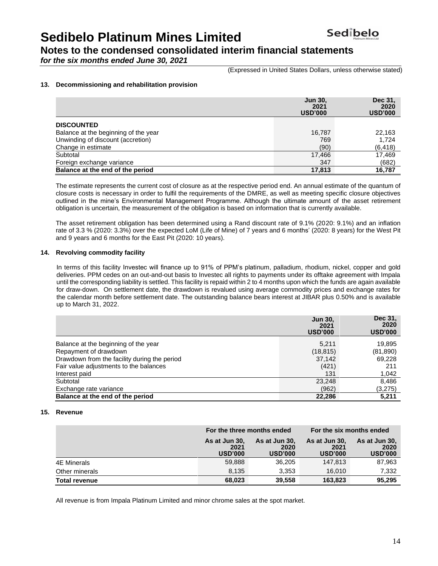**Notes to the condensed consolidated interim financial statements** 

*for the six months ended June 30, 2021*

(Expressed in United States Dollars, unless otherwise stated)

### **13. Decommissioning and rehabilitation provision**

|                                      | <b>Jun 30,</b><br>2021<br><b>USD'000</b> | Dec 31.<br>2020<br><b>USD'000</b> |
|--------------------------------------|------------------------------------------|-----------------------------------|
| <b>DISCOUNTED</b>                    |                                          |                                   |
| Balance at the beginning of the year | 16,787                                   | 22.163                            |
| Unwinding of discount (accretion)    | 769                                      | 1.724                             |
| Change in estimate                   | (90)                                     | (6, 418)                          |
| Subtotal                             | 17,466                                   | 17,469                            |
| Foreign exchange variance            | 347                                      | (682)                             |
| Balance at the end of the period     | 17.813                                   | 16.787                            |

The estimate represents the current cost of closure as at the respective period end. An annual estimate of the quantum of closure costs is necessary in order to fulfil the requirements of the DMRE, as well as meeting specific closure objectives outlined in the mine's Environmental Management Programme. Although the ultimate amount of the asset retirement obligation is uncertain, the measurement of the obligation is based on information that is currently available.

The asset retirement obligation has been determined using a Rand discount rate of 9.1% (2020: 9.1%) and an inflation rate of 3.3 % (2020: 3.3%) over the expected LoM (Life of Mine) of 7 years and 6 months' (2020: 8 years) for the West Pit and 9 years and 6 months for the East Pit (2020: 10 years).

### **14. Revolving commodity facility**

In terms of this facility Investec will finance up to 91% of PPM's platinum, palladium, rhodium, nickel, copper and gold deliveries. PPM cedes on an out-and-out basis to Investec all rights to payments under its offtake agreement with Impala until the corresponding liability is settled. This facility is repaid within 2 to 4 months upon which the funds are again available for draw-down. On settlement date, the drawdown is revalued using average commodity prices and exchange rates for the calendar month before settlement date. The outstanding balance bears interest at JIBAR plus 0.50% and is available up to March 31, 2022.

|                                              | <b>Jun 30.</b><br>2021<br><b>USD'000</b> | Dec 31,<br>2020<br><b>USD'000</b> |
|----------------------------------------------|------------------------------------------|-----------------------------------|
| Balance at the beginning of the year         | 5,211                                    | 19,895                            |
| Repayment of drawdown                        | (18, 815)                                | (81, 890)                         |
| Drawdown from the facility during the period | 37,142                                   | 69,228                            |
| Fair value adjustments to the balances       | (421)                                    | 211                               |
| Interest paid                                | 131                                      | 1,042                             |
| Subtotal                                     | 23,248                                   | 8,486                             |
| Exchange rate variance                       | (962)                                    | (3,275)                           |
| Balance at the end of the period             | 22,286                                   | 5,211                             |

### **15. Revenue**

|                      | For the three months ended              |                                         | For the six months ended                |                                         |  |
|----------------------|-----------------------------------------|-----------------------------------------|-----------------------------------------|-----------------------------------------|--|
|                      | As at Jun 30,<br>2021<br><b>USD'000</b> | As at Jun 30,<br>2020<br><b>USD'000</b> | As at Jun 30,<br>2021<br><b>USD'000</b> | As at Jun 30,<br>2020<br><b>USD'000</b> |  |
| 4E Minerals          | 59,888                                  | 36,205                                  | 147,813                                 | 87,963                                  |  |
| Other minerals       | 8,135                                   | 3.353                                   | 16.010                                  | 7,332                                   |  |
| <b>Total revenue</b> | 68,023                                  | 39,558                                  | 163,823                                 | 95,295                                  |  |

All revenue is from Impala Platinum Limited and minor chrome sales at the spot market.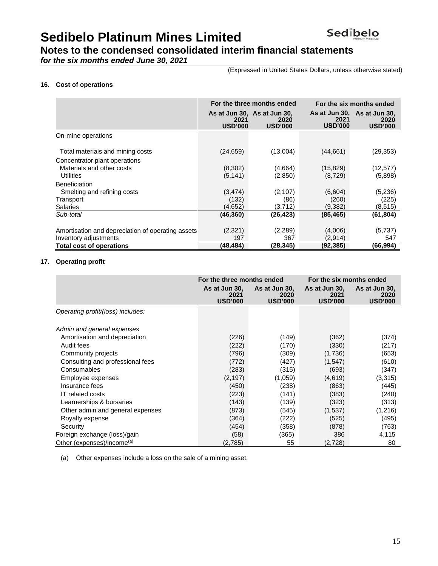### **Notes to the condensed consolidated interim financial statements**

*for the six months ended June 30, 2021*

(Expressed in United States Dollars, unless otherwise stated)

### **16. Cost of operations**

|                                                                            |                        | For the three months ended                            | For the six months ended |                                                       |
|----------------------------------------------------------------------------|------------------------|-------------------------------------------------------|--------------------------|-------------------------------------------------------|
|                                                                            | 2021<br><b>USD'000</b> | As at Jun 30, As at Jun 30,<br>2020<br><b>USD'000</b> | 2021<br><b>USD'000</b>   | As at Jun 30, As at Jun 30,<br>2020<br><b>USD'000</b> |
| On-mine operations                                                         |                        |                                                       |                          |                                                       |
| Total materials and mining costs                                           | (24, 659)              | (13,004)                                              | (44,661)                 | (29, 353)                                             |
| Concentrator plant operations<br>Materials and other costs<br>Utilities    | (8,302)<br>(5, 141)    | (4,664)<br>(2,850)                                    | (15, 829)<br>(8,729)     | (12, 577)<br>(5,898)                                  |
| <b>Beneficiation</b><br>Smelting and refining costs                        | (3, 474)               | (2,107)                                               | (6,604)                  | (5,236)                                               |
| Transport<br><b>Salaries</b>                                               | (132)<br>(4,652)       | (86)<br>(3,712)                                       | (260)<br>(9,382)         | (225)<br>(8, 515)                                     |
| Sub-total                                                                  | (46, 360)              | (26,423)                                              | (85, 465)                | (61, 804)                                             |
| Amortisation and depreciation of operating assets<br>Inventory adjustments | (2,321)<br>197         | (2,289)<br>367                                        | (4,006)<br>(2,914)       | (5,737)<br>547                                        |
| <b>Total cost of operations</b>                                            | (48,484)               | (28,345)                                              | (92,385)                 | (66.994)                                              |

### **17. Operating profit**

|                                        | For the three months ended              |                                         | For the six months ended                |                                         |  |
|----------------------------------------|-----------------------------------------|-----------------------------------------|-----------------------------------------|-----------------------------------------|--|
|                                        | As at Jun 30,<br>2021<br><b>USD'000</b> | As at Jun 30,<br>2020<br><b>USD'000</b> | As at Jun 30,<br>2021<br><b>USD'000</b> | As at Jun 30,<br>2020<br><b>USD'000</b> |  |
| Operating profit/(loss) includes:      |                                         |                                         |                                         |                                         |  |
| Admin and general expenses             |                                         |                                         |                                         |                                         |  |
| Amortisation and depreciation          | (226)                                   | (149)                                   | (362)                                   | (374)                                   |  |
| Audit fees                             | (222)                                   | (170)                                   | (330)                                   | (217)                                   |  |
| Community projects                     | (796)                                   | (309)                                   | (1,736)                                 | (653)                                   |  |
| Consulting and professional fees       | (772)                                   | (427)                                   | (1,547)                                 | (610)                                   |  |
| Consumables                            | (283)                                   | (315)                                   | (693)                                   | (347)                                   |  |
| Employee expenses                      | (2, 197)                                | (1,059)                                 | (4,619)                                 | (3, 315)                                |  |
| Insurance fees                         | (450)                                   | (238)                                   | (863)                                   | (445)                                   |  |
| <b>IT related costs</b>                | (223)                                   | (141)                                   | (383)                                   | (240)                                   |  |
| Learnerships & bursaries               | (143)                                   | (139)                                   | (323)                                   | (313)                                   |  |
| Other admin and general expenses       | (873)                                   | (545)                                   | (1,537)                                 | (1, 216)                                |  |
| Royalty expense                        | (364)                                   | (222)                                   | (525)                                   | (495)                                   |  |
| Security                               | (454)                                   | (358)                                   | (878)                                   | (763)                                   |  |
| Foreign exchange (loss)/gain           | (58)                                    | (365)                                   | 386                                     | 4,115                                   |  |
| Other (expenses)/income <sup>(a)</sup> | (2,785)                                 | 55                                      | (2,728)                                 | 80                                      |  |

(a) Other expenses include a loss on the sale of a mining asset.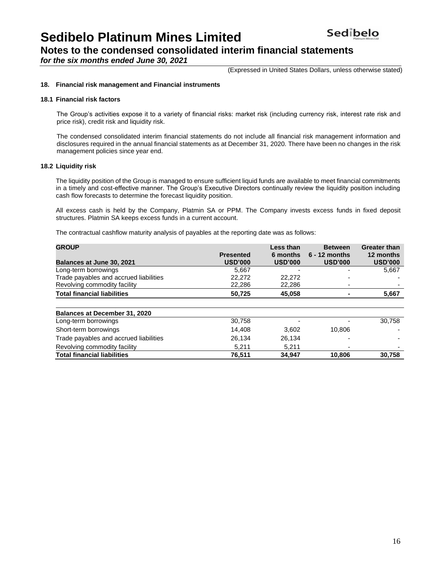**Notes to the condensed consolidated interim financial statements** 

*for the six months ended June 30, 2021*

(Expressed in United States Dollars, unless otherwise stated)

### **18. Financial risk management and Financial instruments**

#### **18.1 Financial risk factors**

The Group's activities expose it to a variety of financial risks: market risk (including currency risk, interest rate risk and price risk), credit risk and liquidity risk.

The condensed consolidated interim financial statements do not include all financial risk management information and disclosures required in the annual financial statements as at December 31, 2020. There have been no changes in the risk management policies since year end.

#### **18.2 Liquidity risk**

The liquidity position of the Group is managed to ensure sufficient liquid funds are available to meet financial commitments in a timely and cost-effective manner. The Group's Executive Directors continually review the liquidity position including cash flow forecasts to determine the forecast liquidity position.

All excess cash is held by the Company, Platmin SA or PPM. The Company invests excess funds in fixed deposit structures. Platmin SA keeps excess funds in a current account.

The contractual cashflow maturity analysis of payables at the reporting date was as follows:

| <b>GROUP</b>                           |                                    | Less than                  | <b>Between</b>                    | <b>Greater than</b>         |
|----------------------------------------|------------------------------------|----------------------------|-----------------------------------|-----------------------------|
| <b>Balances at June 30, 2021</b>       | <b>Presented</b><br><b>USD'000</b> | 6 months<br><b>USD'000</b> | $6 - 12$ months<br><b>USD'000</b> | 12 months<br><b>USD'000</b> |
| Long-term borrowings                   | 5.667                              |                            |                                   | 5,667                       |
| Trade payables and accrued liabilities | 22,272                             | 22,272                     |                                   |                             |
| Revolving commodity facility           | 22,286                             | 22,286                     |                                   |                             |
| <b>Total financial liabilities</b>     | 50,725                             | 45.058                     |                                   | 5,667                       |
|                                        |                                    |                            |                                   |                             |
| <b>Balances at December 31, 2020</b>   |                                    |                            |                                   |                             |
| Long-term borrowings                   | 30,758                             |                            |                                   | 30.758                      |
| Short-term borrowings                  | 14.408                             | 3.602                      | 10.806                            |                             |
| Trade payables and accrued liabilities | 26,134                             | 26,134                     |                                   |                             |
| Revolving commodity facility           | 5,211                              | 5.211                      |                                   |                             |
| <b>Total financial liabilities</b>     | 76,511                             | 34.947                     | 10.806                            | 30.758                      |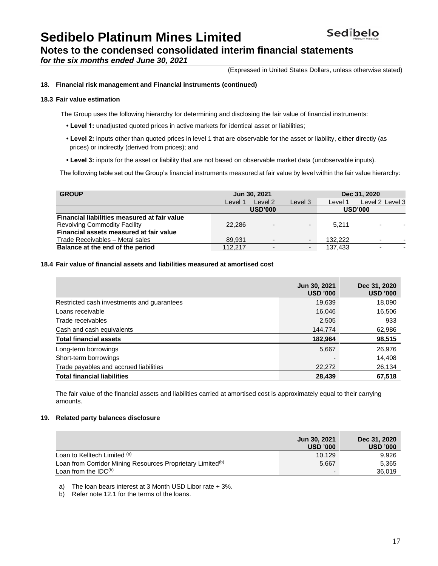### **Notes to the condensed consolidated interim financial statements**

*for the six months ended June 30, 2021*

(Expressed in United States Dollars, unless otherwise stated)

### **18. Financial risk management and Financial instruments (continued)**

### **18.3 Fair value estimation**

The Group uses the following hierarchy for determining and disclosing the fair value of financial instruments:

- **Level 1:** unadjusted quoted prices in active markets for identical asset or liabilities;
- **Level 2:** inputs other than quoted prices in level 1 that are observable for the asset or liability, either directly (as prices) or indirectly (derived from prices); and
- **Level 3:** inputs for the asset or liability that are not based on observable market data (unobservable inputs).

The following table set out the Group's financial instruments measured at fair value by level within the fair value hierarchy:

| <b>GROUP</b>                                 | Jun 30, 2021 |                          |                          | Dec 31, 2020 |                          |  |
|----------------------------------------------|--------------|--------------------------|--------------------------|--------------|--------------------------|--|
|                                              | Level 1      | Level 2                  | Level 3                  | Level 1      | Level 2 Level 3          |  |
|                                              |              | <b>USD'000</b>           |                          |              | <b>USD'000</b>           |  |
| Financial liabilities measured at fair value |              |                          |                          |              |                          |  |
| <b>Revolving Commodity Facility</b>          | 22,286       | $\overline{\phantom{a}}$ | $\overline{\phantom{0}}$ | 5.211        | $\blacksquare$           |  |
| Financial assets measured at fair value      |              |                          |                          |              |                          |  |
| Trade Receivables - Metal sales              | 89.931       | $\overline{\phantom{a}}$ | $\overline{\phantom{0}}$ | 132.222      | $\overline{\phantom{0}}$ |  |
| Balance at the end of the period             | 112.217      | $\overline{\phantom{0}}$ | $\overline{\phantom{a}}$ | 137.433      | $\overline{\phantom{0}}$ |  |

### **18.4 Fair value of financial assets and liabilities measured at amortised cost**

|                                            | Jun 30, 2021<br><b>USD '000</b> | Dec 31, 2020<br><b>USD '000</b> |
|--------------------------------------------|---------------------------------|---------------------------------|
| Restricted cash investments and guarantees | 19,639                          | 18,090                          |
| Loans receivable                           | 16.046                          | 16,506                          |
| Trade receivables                          | 2,505                           | 933                             |
| Cash and cash equivalents                  | 144,774                         | 62,986                          |
| <b>Total financial assets</b>              | 182,964                         | 98,515                          |
| Long-term borrowings                       | 5,667                           | 26,976                          |
| Short-term borrowings                      |                                 | 14,408                          |
| Trade payables and accrued liabilities     | 22,272                          | 26,134                          |
| <b>Total financial liabilities</b>         | 28,439                          | 67,518                          |

The fair value of the financial assets and liabilities carried at amortised cost is approximately equal to their carrying amounts.

### **19. Related party balances disclosure**

|                                                                        | Jun 30, 2021<br><b>USD '000</b> | Dec 31, 2020<br><b>USD '000</b> |
|------------------------------------------------------------------------|---------------------------------|---------------------------------|
| Loan to Kelltech Limited (a)                                           | 10.129                          | 9.926                           |
| Loan from Corridor Mining Resources Proprietary Limited <sup>(b)</sup> | 5,667                           | 5.365                           |
| Loan from the $IDC^{(b)}$                                              | $\overline{\phantom{0}}$        | 36,019                          |

a) The loan bears interest at 3 Month USD Libor rate + 3%.

b) Refer note 12.1 for the terms of the loans.